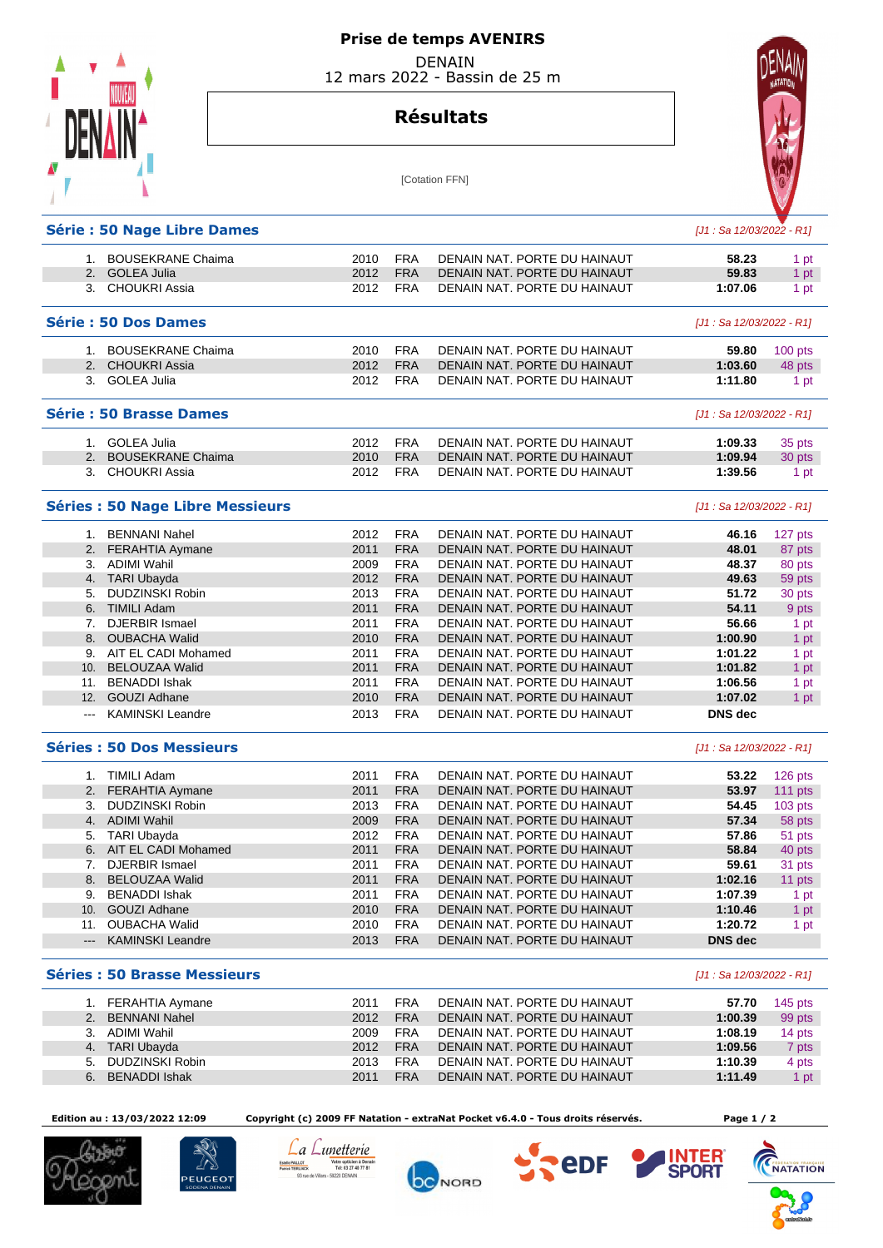## **Prise de temps AVENIRS**

 DENAIN 12 mars 2022 - Bassin de 25 m



## **Résultats**



[Cotation FFN]

|                          | <b>Série : 50 Nage Libre Dames</b>      |      |                           |                              | [J1 : Sa 12/03/2022 - R1]  |           |
|--------------------------|-----------------------------------------|------|---------------------------|------------------------------|----------------------------|-----------|
|                          | 1. BOUSEKRANE Chaima                    | 2010 | <b>FRA</b>                | DENAIN NAT. PORTE DU HAINAUT | 58.23                      | 1 pt      |
| 2.                       | <b>GOLEA Julia</b>                      | 2012 | <b>FRA</b>                | DENAIN NAT. PORTE DU HAINAUT | 59.83                      | 1 pt      |
|                          | 3. CHOUKRI Assia                        | 2012 | <b>FRA</b>                | DENAIN NAT. PORTE DU HAINAUT | 1:07.06                    | 1 pt      |
|                          | <b>Série : 50 Dos Dames</b>             |      |                           |                              | $[J1: Sa 12/03/2022 - R1]$ |           |
|                          | 1. BOUSEKRANE Chaima                    | 2010 | <b>FRA</b>                | DENAIN NAT. PORTE DU HAINAUT | 59.80                      | 100 pts   |
| 2.                       | <b>CHOUKRI Assia</b>                    | 2012 | <b>FRA</b>                | DENAIN NAT. PORTE DU HAINAUT | 1:03.60                    | 48 pts    |
|                          | 3. GOLEA Julia                          | 2012 | <b>FRA</b>                | DENAIN NAT. PORTE DU HAINAUT | 1:11.80                    | 1 pt      |
|                          | <b>Série : 50 Brasse Dames</b>          |      |                           |                              | [J1 : Sa 12/03/2022 - R1]  |           |
|                          | 1. GOLEA Julia                          | 2012 | <b>FRA</b>                | DENAIN NAT. PORTE DU HAINAUT | 1:09.33                    | 35 pts    |
| 2.                       | <b>BOUSEKRANE Chaima</b>                | 2010 | <b>FRA</b>                | DENAIN NAT. PORTE DU HAINAUT | 1:09.94                    | 30 pts    |
|                          | 3. CHOUKRI Assia                        | 2012 | <b>FRA</b>                | DENAIN NAT. PORTE DU HAINAUT | 1:39.56                    | 1 pt      |
|                          |                                         |      |                           |                              |                            |           |
|                          | <b>Séries : 50 Nage Libre Messieurs</b> |      |                           |                              | [J1 : Sa 12/03/2022 - R1]  |           |
|                          | 1. BENNANI Nahel                        | 2012 | <b>FRA</b>                | DENAIN NAT. PORTE DU HAINAUT | 46.16                      | 127 pts   |
| 2.                       | FERAHTIA Aymane                         | 2011 | <b>FRA</b>                | DENAIN NAT. PORTE DU HAINAUT | 48.01                      | 87 pts    |
|                          | 3. ADIMI Wahil                          | 2009 | <b>FRA</b>                | DENAIN NAT. PORTE DU HAINAUT | 48.37                      | 80 pts    |
|                          | 4. TARI Ubayda                          | 2012 | <b>FRA</b>                | DENAIN NAT. PORTE DU HAINAUT | 49.63                      | 59 pts    |
| 5.                       | <b>DUDZINSKI Robin</b>                  | 2013 | <b>FRA</b>                | DENAIN NAT. PORTE DU HAINAUT | 51.72                      | 30 pts    |
| 6.                       | <b>TIMILI Adam</b>                      | 2011 | <b>FRA</b>                | DENAIN NAT. PORTE DU HAINAUT | 54.11                      | 9 pts     |
| 7.                       | <b>DJERBIR Ismael</b>                   | 2011 | <b>FRA</b>                | DENAIN NAT. PORTE DU HAINAUT | 56.66                      | 1 pt      |
| 8.                       | <b>OUBACHA Walid</b>                    | 2010 | <b>FRA</b>                | DENAIN NAT. PORTE DU HAINAUT | 1:00.90                    | 1 pt      |
|                          | 9. AIT EL CADI Mohamed                  | 2011 | <b>FRA</b>                | DENAIN NAT. PORTE DU HAINAUT | 1:01.22                    | 1 pt      |
| 10.                      | <b>BELOUZAA Walid</b>                   | 2011 | <b>FRA</b>                | DENAIN NAT. PORTE DU HAINAUT | 1:01.82                    | 1 pt      |
| 11.                      | <b>BENADDI Ishak</b>                    | 2011 | <b>FRA</b>                | DENAIN NAT. PORTE DU HAINAUT | 1:06.56                    | 1 pt      |
| 12.                      | <b>GOUZI Adhane</b>                     | 2010 | <b>FRA</b>                | DENAIN NAT. PORTE DU HAINAUT | 1:07.02                    | 1 pt      |
| $\overline{\phantom{a}}$ | <b>KAMINSKI Leandre</b>                 | 2013 | <b>FRA</b>                | DENAIN NAT. PORTE DU HAINAUT | <b>DNS</b> dec             |           |
|                          | <b>Séries : 50 Dos Messieurs</b>        |      |                           |                              | [J1 : Sa 12/03/2022 - R1]  |           |
|                          | 1. TIMILI Adam                          | 2011 | <b>FRA</b>                | DENAIN NAT. PORTE DU HAINAUT | 53.22                      | 126 pts   |
| 2.                       | FERAHTIA Aymane                         | 2011 | <b>FRA</b>                | DENAIN NAT. PORTE DU HAINAUT | 53.97                      | $111$ pts |
| 3.                       | <b>DUDZINSKI Robin</b>                  | 2013 | <b>FRA</b>                | DENAIN NAT. PORTE DU HAINAUT | 54.45                      | 103 pts   |
|                          | 4. ADIMI Wahil                          | 2009 | <b>FRA</b>                | DENAIN NAT. PORTE DU HAINAUT | 57.34                      | 58 pts    |
| 5.                       | <b>TARI Ubayda</b>                      | 2012 | <b>FRA</b>                | DENAIN NAT. PORTE DU HAINAUT | 57.86                      | 51 pts    |
|                          | 6. AIT EL CADI Mohamed                  | 2011 | <b>FRA</b>                | DENAIN NAT. PORTE DU HAINAUT | 58.84                      | 40 pts    |
|                          | 7. DJERBIR Ismael                       | 2011 | <b>FRA</b>                | DENAIN NAT. PORTE DU HAINAUT | 59.61                      | 31 pts    |
| 8.                       | <b>BELOUZAA Walid</b>                   | 2011 | <b>FRA</b>                | DENAIN NAT. PORTE DU HAINAUT | 1:02.16                    | 11 pts    |
| 9.                       | <b>BENADDI Ishak</b>                    | 2011 | <b>FRA</b>                | DENAIN NAT. PORTE DU HAINAUT | 1:07.39                    | 1 pt      |
| 10.                      | <b>GOUZI Adhane</b>                     | 2010 | <b>FRA</b>                | DENAIN NAT. PORTE DU HAINAUT | 1:10.46                    | 1 pt      |
| 11.                      | <b>OUBACHA Walid</b>                    | 2010 | FRA                       | DENAIN NAT. PORTE DU HAINAUT | 1:20.72                    | 1 pt      |
| $---$                    | <b>KAMINSKI Leandre</b>                 | 2013 | <b>FRA</b>                | DENAIN NAT. PORTE DU HAINAUT | <b>DNS</b> dec             |           |
|                          | <b>Séries: 50 Brasse Messieurs</b>      |      | [J1 : Sa 12/03/2022 - R1] |                              |                            |           |
|                          | 1. FERAHTIA Aymane                      | 2011 | <b>FRA</b>                | DENAIN NAT. PORTE DU HAINAUT | 57.70                      | $145$ pts |
| 2.                       | <b>BENNANI Nahel</b>                    | 2012 | <b>FRA</b>                | DENAIN NAT. PORTE DU HAINAUT | 1:00.39                    | 99 pts    |
|                          | 3. ADIMI Wahil                          | 2009 | <b>FRA</b>                | DENAIN NAT. PORTE DU HAINAUT | 1:08.19                    | 14 pts    |
|                          | 4. TARI Ubayda                          | 2012 | <b>FRA</b>                | DENAIN NAT. PORTE DU HAINAUT | 1:09.56                    | 7 pts     |
| 5.                       | DUDZINSKI Robin                         | 2013 | <b>FRA</b>                | DENAIN NAT. PORTE DU HAINAUT | 1:10.39                    | 4 pts     |
| 6.                       | <b>BENADDI Ishak</b>                    | 2011 | <b>FRA</b>                | DENAIN NAT. PORTE DU HAINAUT | 1:11.49                    | 1 pt      |
|                          |                                         |      |                           |                              |                            |           |
|                          |                                         |      |                           |                              |                            |           |